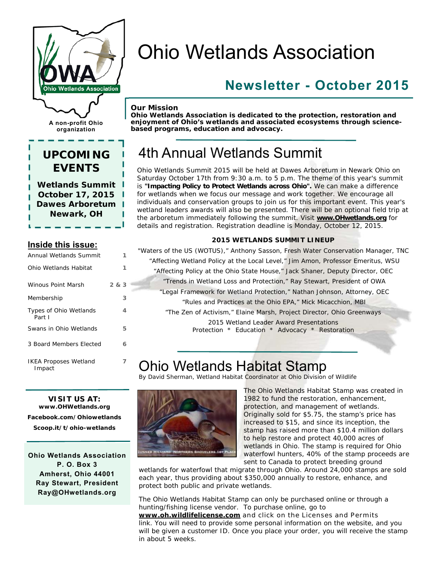

**A non-profit Ohio organization** 

### **UPCOMING EVENTS**

**Wetlands Summit October 17, 2015 Dawes Arboretum Newark, OH** 

### **Inside this issue:**

| Annual Wetlands Summit                 |       |
|----------------------------------------|-------|
| Ohio Wetlands Habitat                  | 1     |
| Winous Point Marsh                     | 2 & 3 |
| Membership                             | 3     |
| Types of Ohio Wetlands<br>Part I       | 4     |
| Swans in Ohio Wetlands                 | 5     |
| 3 Board Members Elected                | 6     |
| <b>IKEA Proposes Wetland</b><br>Impact | 7     |

# Ohio Wetlands Association

### **Newsletter - October 2015**

#### *Our Mission*

*Ohio Wetlands Association is dedicated to the protection, restoration and enjoyment of Ohio's wetlands and associated ecosystems through sciencebased programs, education and advocacy.* 

## 4th Annual Wetlands Summit

Ohio Wetlands Summit 2015 will be held at Dawes Arboretum in Newark Ohio on Saturday October 17th from 9:30 a.m. to 5 p.m. The theme of this year's summit is **"Impacting Policy to Protect Wetlands across Ohio".** We can make a difference for wetlands when we focus our message and work together. We encourage all individuals and conservation groups to join us for this important event. This year's wetland leaders awards will also be presented. There will be an optional field trip at the arboretum immediately following the summit. Visit **[www.OHwetlands.org](http://www.OHwetlands.org)** for details and registration. Registration deadline is Monday, October 12, 2015.

#### **2015 WETLANDS SUMMIT LINEUP**

"Waters of the US (WOTUS)," Anthony Sasson, Fresh Water Conservation Manager, TNC "Affecting Wetland Policy at the Local Level," Jim Amon, Professor Emeritus, WSU "Affecting Policy at the Ohio State House," Jack Shaner, Deputy Director, OEC "Trends in Wetland Loss and Protection," Ray Stewart, President of OWA "Legal Framework for Wetland Protection," Nathan Johnson, Attorney, OEC "Rules and Practices at the Ohio EPA," Mick Micacchion, MBI "The Zen of Activism," Elaine Marsh, Project Director, Ohio Greenways 2015 Wetland Leader Award Presentations Protection \* Education \* Advocacy \* Restoration

# Ohio Wetlands Habitat Stamp

By David Sherman, Wetland Habitat Coordinator at Ohio Division of Wildlife



The Ohio Wetlands Habitat Stamp was created in 1982 to fund the restoration, enhancement, protection, and management of wetlands. Originally sold for \$5.75, the stamp's price has increased to \$15, and since its inception, the stamp has raised more than \$10.4 million dollars to help restore and protect 40,000 acres of wetlands in Ohio. The stamp is required for Ohio waterfowl hunters, 40% of the stamp proceeds are sent to Canada to protect breeding ground

wetlands for waterfowl that migrate through Ohio. Around 24,000 stamps are sold each year, thus providing about \$350,000 annually to restore, enhance, and protect both public and private wetlands.

The Ohio Wetlands Habitat Stamp can only be purchased online or through a hunting/fishing license vendor. To purchase online, go to **[www.oh.wildlifelicense.com](http://www.oh.wildlifelicense.com)** and click on the Licenses and Permits link. You will need to provide some personal information on the website, and you will be given a customer ID. Once you place your order, you will receive the stamp in about 5 weeks.

**VISIT US AT: [www.OHWetlands.org](http://www.OHWetlands.org)  Facebook.com/Ohiowetlands Scoop.it/t/ohio-wetlands** 

**Ohio Wetlands Association P. O. Box 3 Amherst, Ohio 44001 Ray Stewart, President [Ray@OHwetlands.org](mailto:Ray@OHwetlands.org)**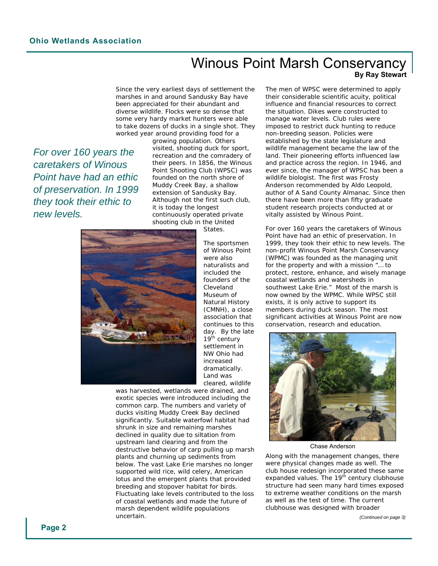### Winous Point Marsh Conservancy **By Ray Stewart**

Since the very earliest days of settlement the marshes in and around Sandusky Bay have been appreciated for their abundant and diverse wildlife. Flocks were so dense that some very hardy market hunters were able to take dozens of ducks in a single shot. They worked year around providing food for a

*For over 160 years the caretakers of Winous Point have had an ethic of preservation. In 1999 they took their ethic to new levels.* 

growing population. Others visited, shooting duck for sport, recreation and the comradery of their peers. In 1856, the Winous Point Shooting Club (WPSC) was founded on the north shore of Muddy Creek Bay, a shallow extension of Sandusky Bay. Although not the first such club, it is today the longest continuously operated private shooting club in the United States.



of Winous Point were also naturalists and included the founders of the Cleveland Museum of Natural History (CMNH), a close association that continues to this day. By the late 19th century settlement in NW Ohio had increased dramatically. Land was cleared, wildlife

The sportsmen

was harvested, wetlands were drained, and exotic species were introduced including the common carp. The numbers and variety of ducks visiting Muddy Creek Bay declined significantly. Suitable waterfowl habitat had shrunk in size and remaining marshes declined in quality due to siltation from upstream land clearing and from the destructive behavior of carp pulling up marsh plants and churning up sediments from below. The vast Lake Erie marshes no longer supported wild rice, wild celery, American lotus and the emergent plants that provided breeding and stopover habitat for birds. Fluctuating lake levels contributed to the loss of coastal wetlands and made the future of marsh dependent wildlife populations uncertain.

The men of WPSC were determined to apply their considerable scientific acuity, political influence and financial resources to correct the situation. Dikes were constructed to manage water levels. Club rules were imposed to restrict duck hunting to reduce non-breeding season. Policies were established by the state legislature and wildlife management became the law of the land. Their pioneering efforts influenced law and practice across the region. In 1946, and ever since, the manager of WPSC has been a wildlife biologist. The first was Frosty Anderson recommended by Aldo Leopold, author of A Sand County Almanac. Since then there have been more than fifty graduate student research projects conducted at or vitally assisted by Winous Point.

For over 160 years the caretakers of Winous Point have had an ethic of preservation. In 1999, they took their ethic to new levels. The non-profit Winous Point Marsh Conservancy (WPMC) was founded as the managing unit for the property and with a mission "*… to protect, restore, enhance, and wisely manage coastal wetlands and watersheds in southwest Lake Erie.*" Most of the marsh is now owned by the WPMC. While WPSC still exists, it is only active to support its members during duck season. The most significant activities at Winous Point are now conservation, research and education.



Chase Anderson

Along with the management changes, there were physical changes made as well. The club house redesign incorporated these same expanded values. The 19<sup>th</sup> century clubhouse structure had seen many hard times exposed to extreme weather conditions on the marsh as well as the test of time. The current clubhouse was designed with broader

*(Continued on page 3)*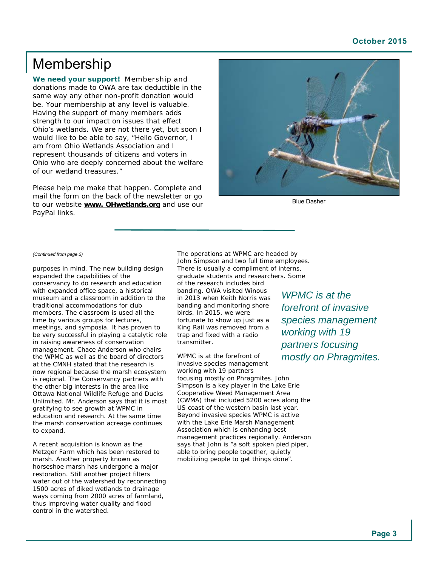#### **October 2015**

### Membership

**We need your support!** Membership and donations made to OWA are tax deductible in the same way any other non-profit donation would be. Your membership at any level is valuable. Having the support of many members adds strength to our impact on issues that effect Ohio's wetlands. We are not there yet, but soon I would like to be able to say, "Hello Governor, I am from Ohio Wetlands Association and I represent thousands of citizens and voters in Ohio who are deeply concerned about the welfare of our wetland treasures."

Please help me make that happen. Complete and mail the form on the back of the newsletter or go to our website **[www. OHwetlands.org](http://www.OHwetlands.org)** and use our PayPal links.



Blue Dasher

#### *(Continued from page 2)*

purposes in mind. The new building design expanded the capabilities of the conservancy to do research and education with expanded office space, a historical museum and a classroom in addition to the traditional accommodations for club members. The classroom is used all the time by various groups for lectures, meetings, and symposia. It has proven to be very successful in playing a catalytic role in raising awareness of conservation management. Chace Anderson who chairs the WPMC as well as the board of directors at the CMNH stated that the research is now regional because the marsh ecosystem is regional. The Conservancy partners with the other big interests in the area like Ottawa National Wildlife Refuge and Ducks Unlimited. Mr. Anderson says that it is most gratifying to see growth at WPMC in education and research. At the same time the marsh conservation acreage continues to expand.

A recent acquisition is known as the Metzger Farm which has been restored to marsh. Another property known as horseshoe marsh has undergone a major restoration. Still another project filters water out of the watershed by reconnecting 1500 acres of diked wetlands to drainage ways coming from 2000 acres of farmland, thus improving water quality and flood control in the watershed.

The operations at WPMC are headed by John Simpson and two full time employees. There is usually a compliment of interns, graduate students and researchers. Some of the research includes bird banding. OWA visited Winous in 2013 when Keith Norris was banding and monitoring shore birds. In 2015, we were fortunate to show up just as a King Rail was removed from a trap and fixed with a radio transmitter.

WPMC is at the forefront of invasive species management working with 19 partners focusing mostly on *Phragmites*. John Simpson is a key player in the Lake Erie Cooperative Weed Management Area (CWMA) that included 5200 acres along the US coast of the western basin last year. Beyond invasive species WPMC is active with the Lake Erie Marsh Management Association which is enhancing best management practices regionally. Anderson says that John is "a soft spoken pied piper, able to bring people together, quietly mobilizing people to get things done".

*WPMC is at the forefront of invasive species management working with 19 partners focusing mostly on Phragmites.*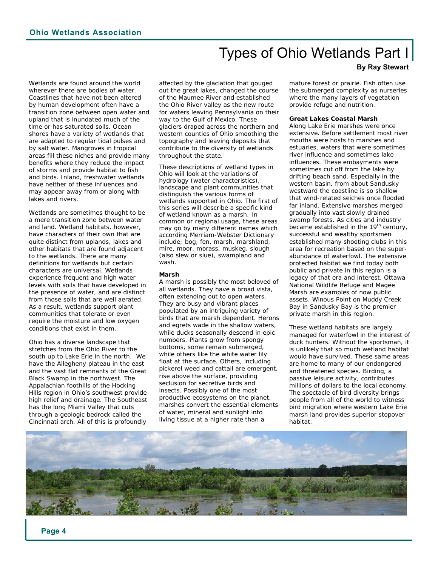### Types of Ohio Wetlands Part I

#### **By Ray Stewart**

Wetlands are found around the world wherever there are bodies of water. Coastlines that have not been altered by human development often have a transition zone between open water and upland that is inundated much of the time or has saturated soils. Ocean shores have a variety of wetlands that are adapted to regular tidal pulses and by salt water. Mangroves in tropical areas fill these niches and provide many benefits where they reduce the impact of storms and provide habitat to fish and birds. Inland, freshwater wetlands have neither of these influences and may appear away from or along with lakes and rivers.

Wetlands are sometimes thought to be a mere transition zone between water and land. Wetland habitats, however, have characters of their own that are quite distinct from uplands, lakes and other habitats that are found adjacent to the wetlands. There are many definitions for wetlands but certain characters are universal. Wetlands experience frequent and high water levels with soils that have developed in the presence of water, and are distinct from those soils that are well aerated. As a result, wetlands support plant communities that tolerate or even require the moisture and low oxygen conditions that exist in them.

Ohio has a diverse landscape that stretches from the Ohio River to the south up to Lake Erie in the north. We have the Allegheny plateau in the east and the vast flat remnants of the Great Black Swamp in the northwest. The Appalachian foothills of the Hocking Hills region in Ohio's southwest provide high relief and drainage. The Southeast has the long Miami Valley that cuts through a geologic bedrock called the Cincinnati arch. All of this is profoundly

affected by the glaciation that gouged out the great lakes, changed the course of the Maumee River and established the Ohio River valley as the new route for waters leaving Pennsylvania on their way to the Gulf of Mexico. These glaciers draped across the northern and western counties of Ohio smoothing the topography and leaving deposits that contribute to the diversity of wetlands throughout the state.

These descriptions of wetland types in Ohio will look at the variations of hydrology (water characteristics), landscape and plant communities that distinguish the various forms of wetlands supported in Ohio. The first of this series will describe a specific kind of wetland known as a marsh. In common or regional usage, these areas may go by many different names which according Merriam-Webster Dictionary include; bog, fen, marsh, marshland, mire, moor, morass, muskeg, slough (also slew or slue), swampland and wash.

#### **Marsh**

A marsh is possibly the most beloved of all wetlands. They have a broad vista, often extending out to open waters. They are busy and vibrant places populated by an intriguing variety of birds that are marsh dependent. Herons and egrets wade in the shallow waters, while ducks seasonally descend in epic numbers. Plants grow from spongy bottoms, some remain submerged, while others like the white water lily float at the surface. Others, including pickerel weed and cattail are emergent, rise above the surface, providing seclusion for secretive birds and insects. Possibly one of the most productive ecosystems on the planet, marshes convert the essential elements of water, mineral and sunlight into living tissue at a higher rate than a

mature forest or prairie. Fish often use the submerged complexity as nurseries where the many layers of vegetation provide refuge and nutrition.

#### **Great Lakes Coastal Marsh**

Along Lake Erie marshes were once extensive. Before settlement most river mouths were hosts to marshes and estuaries, waters that were sometimes river influence and sometimes lake influences. These embayments were sometimes cut off from the lake by drifting beach sand. Especially in the western basin, from about Sandusky westward the coastline is so shallow that wind-related seiches once flooded far inland. Extensive marshes merged gradually into vast slowly drained swamp forests. As cities and industry became established in the 19<sup>th</sup> century, successful and wealthy sportsmen established many shooting clubs in this area for recreation based on the superabundance of waterfowl. The extensive protected habitat we find today both public and private in this region is a legacy of that era and interest. Ottawa National Wildlife Refuge and Magee Marsh are examples of now public assets. Winous Point on Muddy Creek Bay in Sandusky Bay is the premier private marsh in this region.

These wetland habitats are largely managed for waterfowl in the interest of duck hunters. Without the sportsman, it is unlikely that so much wetland habitat would have survived. These same areas are home to many of our endangered and threatened species. Birding, a passive leisure activity, contributes millions of dollars to the local economy. The spectacle of bird diversity brings people from all of the world to witness bird migration where western Lake Erie marsh land provides superior stopover habitat.

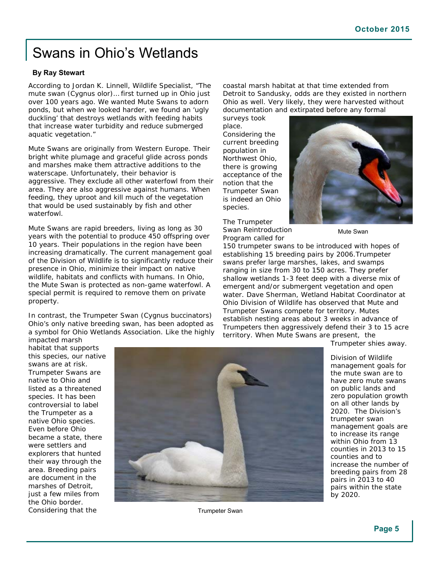### Swans in Ohio's Wetlands

#### **By Ray Stewart**

According to Jordan K. Linnell, Wildlife Specialist, "The mute swan (Cygnus olor)… first turned up in Ohio just over 100 years ago. We wanted Mute Swans to adorn ponds, but when we looked harder, we found an 'ugly duckling' that destroys wetlands with feeding habits that increase water turbidity and reduce submerged aquatic vegetation."

Mute Swans are originally from Western Europe. Their bright white plumage and graceful glide across ponds and marshes make them attractive additions to the waterscape. Unfortunately, their behavior is aggressive. They exclude all other waterfowl from their area. They are also aggressive against humans. When feeding, they uproot and kill much of the vegetation that would be used sustainably by fish and other waterfowl.

Mute Swans are rapid breeders, living as long as 30 years with the potential to produce 450 offspring over 10 years. Their populations in the region have been increasing dramatically. The current management goal of the Division of Wildlife is to significantly reduce their presence in Ohio, minimize their impact on native wildlife, habitats and conflicts with humans. In Ohio, the Mute Swan is protected as non-game waterfowl. A special permit is required to remove them on private property.

In contrast, the Trumpeter Swan (*Cygnus buccinators*) Ohio's only native breeding swan, has been adopted as a symbol for Ohio Wetlands Association. Like the highly impacted marsh

coastal marsh habitat at that time extended from Detroit to Sandusky, odds are they existed in northern Ohio as well. Very likely, they were harvested without documentation and extirpated before any formal

surveys took place. Considering the current breeding population in Northwest Ohio, there is growing acceptance of the notion that the Trumpeter Swan is indeed an Ohio species.

The Trumpeter Swan Reintroduction Program called for



Mute Swan

150 trumpeter swans to be introduced with hopes of establishing 15 breeding pairs by 2006.Trumpeter swans prefer large marshes, lakes, and swamps ranging in size from 30 to 150 acres. They prefer shallow wetlands 1-3 feet deep with a diverse mix of emergent and/or submergent vegetation and open water. Dave Sherman, Wetland Habitat Coordinator at Ohio Division of Wildlife has observed that Mute and Trumpeter Swans compete for territory. Mutes establish nesting areas about 3 weeks in advance of Trumpeters then aggressively defend their 3 to 15 acre territory. When Mute Swans are present, the

Trumpeter shies away.

habitat that supports this species, our native swans are at risk. Trumpeter Swans are native to Ohio and listed as a threatened species. It has been controversial to label the Trumpeter as a native Ohio species. Even before Ohio became a state, there were settlers and explorers that hunted their way through the area. Breeding pairs are document in the marshes of Detroit, just a few miles from the Ohio border. Considering that the



Trumpeter Swan

Division of Wildlife management goals for the mute swan are to have zero mute swans on public lands and zero population growth on all other lands by 2020. The Division's trumpeter swan management goals are to increase its range within Ohio from 13 counties in 2013 to 15 counties and to increase the number of breeding pairs from 28 pairs in 2013 to 40 pairs within the state by 2020.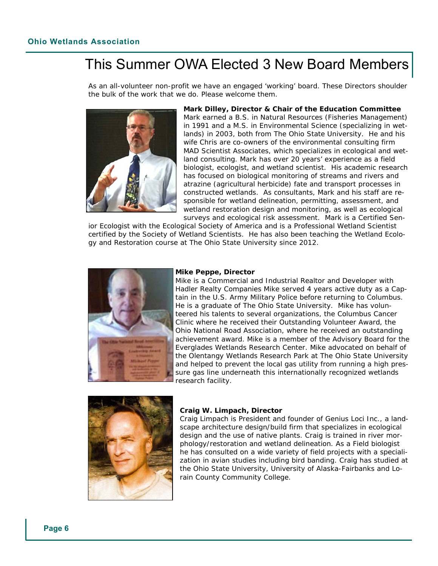### This Summer OWA Elected 3 New Board Members

As an all-volunteer non-profit we have an engaged 'working' board. These Directors shoulder the bulk of the work that we do. Please welcome them.



**Mark Dilley, Director & Chair of the Education Committee** Mark earned a B.S. in Natural Resources (Fisheries Management) in 1991 and a M.S. in Environmental Science (specializing in wetlands) in 2003, both from The Ohio State University. He and his wife Chris are co-owners of the environmental consulting firm MAD Scientist Associates, which specializes in ecological and wetland consulting. Mark has over 20 years' experience as a field biologist, ecologist, and wetland scientist. His academic research has focused on biological monitoring of streams and rivers and atrazine (agricultural herbicide) fate and transport processes in constructed wetlands. As consultants, Mark and his staff are responsible for wetland delineation, permitting, assessment, and wetland restoration design and monitoring, as well as ecological surveys and ecological risk assessment. Mark is a Certified Sen-

ior Ecologist with the Ecological Society of America and is a Professional Wetland Scientist certified by the Society of Wetland Scientists. He has also been teaching the Wetland Ecology and Restoration course at The Ohio State University since 2012.



#### **Mike Peppe, Director**

Mike is a Commercial and Industrial Realtor and Developer with Hadler Realty Companies Mike served 4 years active duty as a Captain in the U.S. Army Military Police before returning to Columbus. He is a graduate of The Ohio State University. Mike has volunteered his talents to several organizations, the Columbus Cancer Clinic where he received their Outstanding Volunteer Award, the Ohio National Road Association, where he received an outstanding achievement award. Mike is a member of the Advisory Board for the Everglades Wetlands Research Center. Mike advocated on behalf of the Olentangy Wetlands Research Park at The Ohio State University and helped to prevent the local gas utility from running a high pressure gas line underneath this internationally recognized wetlands research facility.



#### **Craig W. Limpach, Director**

Craig Limpach is President and founder of Genius Loci Inc., a landscape architecture design/build firm that specializes in ecological design and the use of native plants. Craig is trained in river morphology/restoration and wetland delineation. As a Field biologist he has consulted on a wide variety of field projects with a specialization in avian studies including bird banding. Craig has studied at the Ohio State University, University of Alaska-Fairbanks and Lorain County Community College.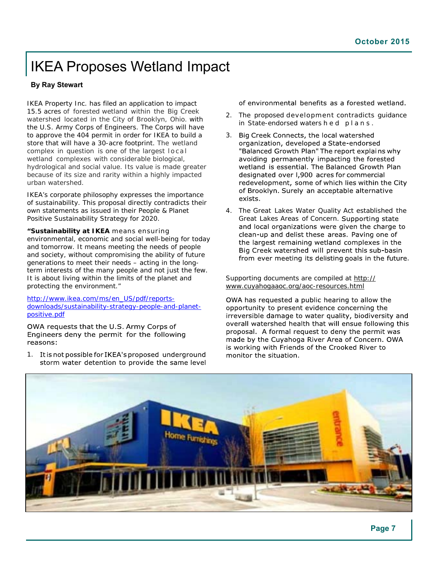### IKEA Proposes Wetland Impact

#### **By Ray Stewart**

IKEA Property Inc. has filed an application to impact 15.5 acres of forested wetland within the Big Creek watershed located in the City of Brooklyn, Ohio. with the U.S. Army Corps of Engineers. The Corps will have to approve the 404 permit in order for IKEA to build a store that will have a 30-acre footprint. The wetland complex in question is one of the largest local wetland complexes with considerable biological, hydrological and social value. Its value is made greater because of its size and rarity within a highly impacted urban watershed.

IKEA's corporate philosophy expresses the importance of sustainability. This proposal directly contradicts their own statements as issued in their People & Planet Positive Sustainability Strategy for 2020.

**"Sustainability at IKEA** means ensuring environmental, economic and social well-being for today and tomorrow. It means meeting the needs of people and society, without compromising the ability of future generations to meet their needs – acting in the longterm interests of the many people and not just the few. It is about living within the limits of the planet and protecting the environment."

[http://www.ikea.com/ms/en\\_US/pdf/re](http://www.ikea.com/ms/en_US/pdf/reports-downloads/sustainability-strategy-people-and-planet-positive.pdf)ports[downloads/sustainability-strategy-people-and-planet](http://www.ikea.com/ms/en_US/pdf/reports-downloads/sustainability-strategy-people-and-planet-positive.pdf)positive[.pdf](http://www.ikea.com/ms/en_US/pdf/reports-downloads/sustainability-strategy-people-and-planet-positive.pdf)

OWA requests that the U.S. Army Corps of Engineers deny the permit for the following reasons:

1. It is not possible for IKEA's proposed underground storm water detention to provide the same level of environmental benefits as a forested wetland.

- 2. The proposed development contradicts guidance in State-endorsed waters h e d p l a n s.
- 3. Big Creek Connects, the local watershed organization, developed a State-endorsed "Balanced Growth Plan" The report explains why avoiding permanently impacting the forested wetland is essential. The Balanced Growth Plan designated over 1,900 acres for commercial redevelopment, some of which lies within the City of Brooklyn. Surely an acceptable alternative exists.
- 4. The Great Lakes Water Quality Act established the Great Lakes Areas of Concern. and local organizations were given the charge to clean-up and delist these areas. Paving one of the largest remaining wetland complexes in the Big Creek watershed will prevent this sub-basin from ever meeting its delisting goals in the future.

Supporting documents are compiled at [http://](http://www.cuyahogaaoc.org/aoc-resources.html) [www.cuyahogaaoc.org/aoc-resources.html](http://www.cuyahogaaoc.org/aoc-resources.html) 

OWA has requested a public hearing to allow the opportunity to present evidence concerning the irreversible damage to water quality, biodiversity and overall watershed health that will ensue following this proposal. A formal request to deny the permit was made by the Cuvahoga River Area of Concern. OWA is working with Friends of the Crooked River to monitor the situation.